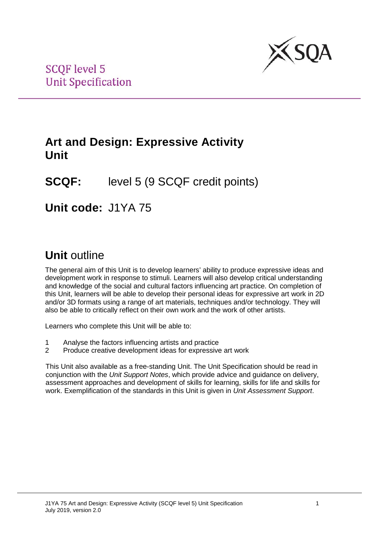

## **Art and Design: Expressive Activity Unit**

# **SCQF:** level 5 (9 SCQF credit points)

## **Unit code:** J1YA 75

# **Unit** outline

The general aim of this Unit is to develop learners' ability to produce expressive ideas and development work in response to stimuli. Learners will also develop critical understanding and knowledge of the social and cultural factors influencing art practice. On completion of this Unit, learners will be able to develop their personal ideas for expressive art work in 2D and/or 3D formats using a range of art materials, techniques and/or technology. They will also be able to critically reflect on their own work and the work of other artists.

Learners who complete this Unit will be able to:

- 1 Analyse the factors influencing artists and practice<br>2 Produce creative development ideas for expressive
- Produce creative development ideas for expressive art work

This Unit also available as a free-standing Unit. The Unit Specification should be read in conjunction with the *Unit Support Notes*, which provide advice and guidance on delivery, assessment approaches and development of skills for learning, skills for life and skills for work. Exemplification of the standards in this Unit is given in *Unit Assessment Support*.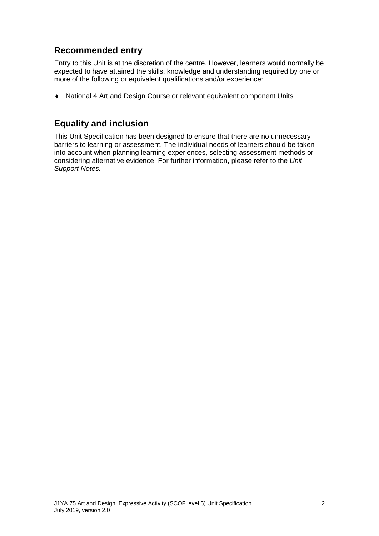## **Recommended entry**

Entry to this Unit is at the discretion of the centre. However, learners would normally be expected to have attained the skills, knowledge and understanding required by one or more of the following or equivalent qualifications and/or experience:

♦ National 4 Art and Design Course or relevant equivalent component Units

### **Equality and inclusion**

This Unit Specification has been designed to ensure that there are no unnecessary barriers to learning or assessment. The individual needs of learners should be taken into account when planning learning experiences, selecting assessment methods or considering alternative evidence. For further information, please refer to the *Unit Support Notes.*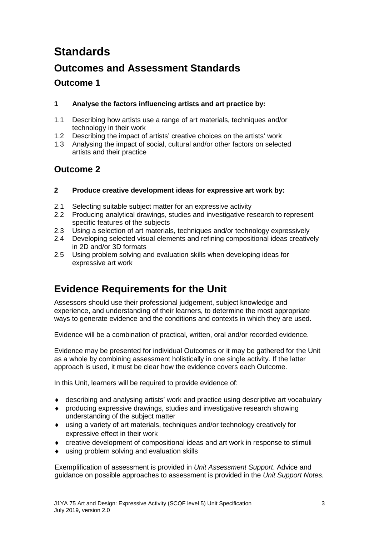# **Standards**

## **Outcomes and Assessment Standards**

### **Outcome 1**

#### **1 Analyse the factors influencing artists and art practice by:**

- 1.1 Describing how artists use a range of art materials, techniques and/or technology in their work
- 1.2 Describing the impact of artists' creative choices on the artists' work
- 1.3 Analysing the impact of social, cultural and/or other factors on selected artists and their practice

### **Outcome 2**

- **2 Produce creative development ideas for expressive art work by:**
- 2.1 Selecting suitable subject matter for an expressive activity
- 2.2 Producing analytical drawings, studies and investigative research to represent specific features of the subjects
- 2.3 Using a selection of art materials, techniques and/or technology expressively
- 2.4 Developing selected visual elements and refining compositional ideas creatively in 2D and/or 3D formats
- 2.5 Using problem solving and evaluation skills when developing ideas for expressive art work

## **Evidence Requirements for the Unit**

Assessors should use their professional judgement, subject knowledge and experience, and understanding of their learners, to determine the most appropriate ways to generate evidence and the conditions and contexts in which they are used.

Evidence will be a combination of practical, written, oral and/or recorded evidence.

Evidence may be presented for individual Outcomes or it may be gathered for the Unit as a whole by combining assessment holistically in one single activity. If the latter approach is used, it must be clear how the evidence covers each Outcome.

In this Unit, learners will be required to provide evidence of:

- ♦ describing and analysing artists' work and practice using descriptive art vocabulary
- ♦ producing expressive drawings, studies and investigative research showing understanding of the subject matter
- ♦ using a variety of art materials, techniques and/or technology creatively for expressive effect in their work
- ♦ creative development of compositional ideas and art work in response to stimuli
- ♦ using problem solving and evaluation skills

Exemplification of assessment is provided in *Unit Assessment Support*. Advice and guidance on possible approaches to assessment is provided in the *Unit Support Notes.*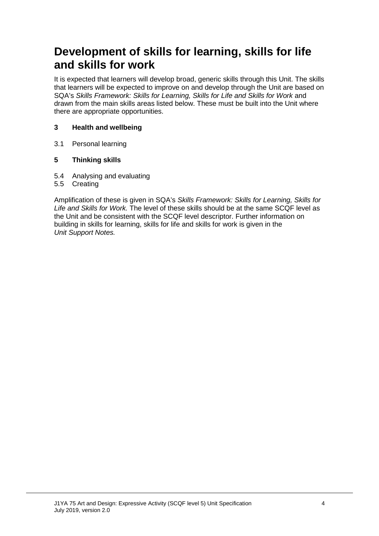# **Development of skills for learning, skills for life and skills for work**

It is expected that learners will develop broad, generic skills through this Unit. The skills that learners will be expected to improve on and develop through the Unit are based on SQA's *Skills Framework: Skills for Learning, Skills for Life and Skills for Work* and drawn from the main skills areas listed below. These must be built into the Unit where there are appropriate opportunities.

#### **3 Health and wellbeing**

3.1 Personal learning

#### **5 Thinking skills**

- 5.4 Analysing and evaluating
- 5.5 Creating

Amplification of these is given in SQA's *Skills Framework: Skills for Learning, Skills for Life and Skills for Work.* The level of these skills should be at the same SCQF level as the Unit and be consistent with the SCQF level descriptor. Further information on building in skills for learning, skills for life and skills for work is given in the *Unit Support Notes.*